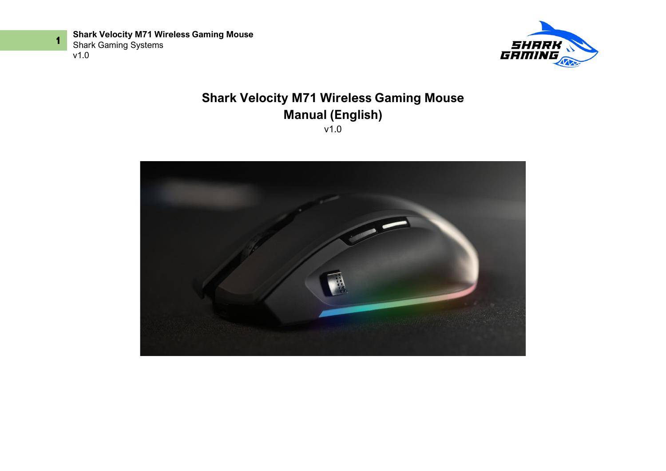

**Shark Velocity M71 Wireless Gaming Mouse** Shark Gaming Systems v1.0



# **Shark Velocity M71 Wireless Gaming Mouse Manual (English)** v1.0



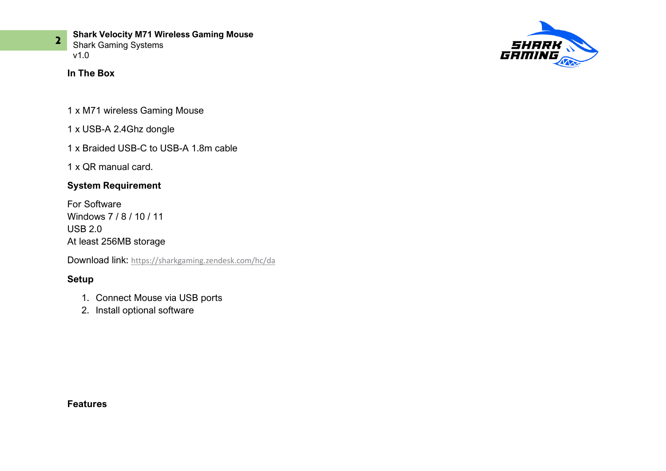

**Shark Velocity M71 Wireless Gaming Mouse** Shark Gaming Systems v1.0

#### **In The Box**

- 1 x M71 wireless Gaming Mouse
- 1 x USB-A 2.4Ghz dongle
- 1 x Braided USB-C to USB-A 1.8m cable
- 1 x QR manual card.

### **System Requirement**

For Software Windows 7 / 8 / 10 / 11 USB 2.0 At least 256MB storage

Download link: <https://sharkgaming.zendesk.com/hc/da>

#### **Setup**

- 1. Connect Mouse via USB ports
- 2. Install optional software



#### **Features**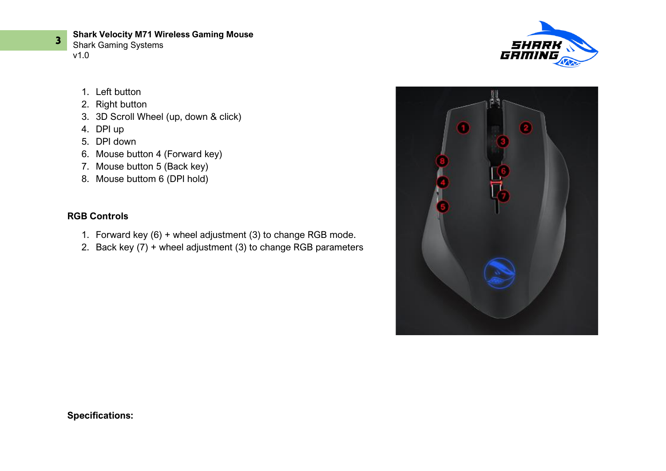

**Shark Velocity M71 Wireless Gaming Mouse** Shark Gaming Systems v1.0

- 1. Left button
- 2. Right button
- 3. 3D Scroll Wheel (up, down & click)
- 4. DPI up
- 5. DPI down
- 6. Mouse button 4 (Forward key)
- 7. Mouse button 5 (Back key)
- 8. Mouse buttom 6 (DPI hold)

#### **RGB Controls**

- 1. Forward key (6) + wheel adjustment (3) to change RGB mode.
- 2. Back key (7) + wheel adjustment (3) to change RGB parameters



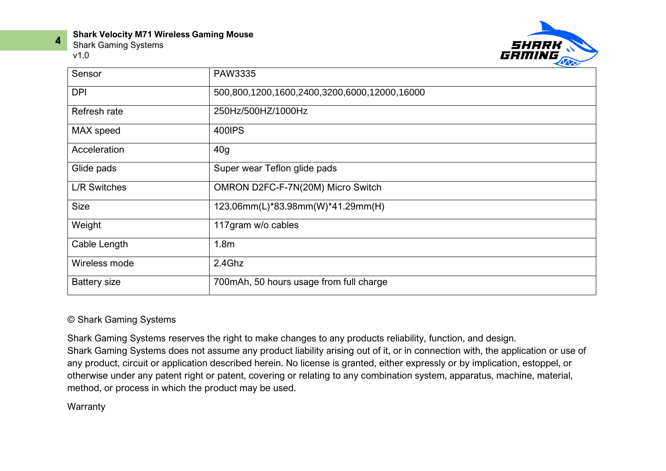**4**

**Shark Velocity M71 Wireless Gaming Mouse**

Shark Gaming Systems v1.0



| Sensor              | PAW3335                                      |
|---------------------|----------------------------------------------|
| <b>DPI</b>          | 500,800,1200,1600,2400,3200,6000,12000,16000 |
| Refresh rate        | 250Hz/500HZ/1000Hz                           |
| MAX speed           | 400IPS                                       |
| Acceleration        | 40 <sub>g</sub>                              |
| Glide pads          | Super wear Teflon glide pads                 |
| <b>L/R Switches</b> | OMRON D2FC-F-7N(20M) Micro Switch            |
| <b>Size</b>         | 123.06mm(L)*83.98mm(W)*41.29mm(H)            |
| Weight              | 117gram w/o cables                           |
| Cable Length        | 1.8 <sub>m</sub>                             |
| Wireless mode       | 2.4Ghz                                       |
| <b>Battery size</b> | 700mAh, 50 hours usage from full charge      |

#### © Shark Gaming Systems

Shark Gaming Systems reserves the right to make changes to any products reliability, function, and design. Shark Gaming Systems does not assume any product liability arising out of it, or in connection with, the application or use of any product, circuit or application described herein. No license is granted, either expressly or by implication, estoppel, or otherwise under any patent right or patent, covering or relating to any combination system, apparatus, machine, material, method, or process in which the product may be used.

Warranty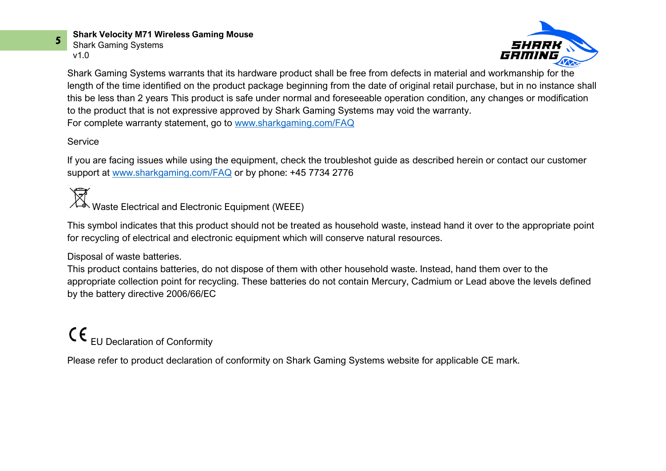**5**

**Shark Velocity M71 Wireless Gaming Mouse**

Shark Gaming Systems v1.0



Shark Gaming Systems warrants that its hardware product shall be free from defects in material and workmanship for the length of the time identified on the product package beginning from the date of original retail purchase, but in no instance shall this be less than 2 years This product is safe under normal and foreseeable operation condition, any changes or modification to the product that is not expressive approved by Shark Gaming Systems may void the warranty. For complete warranty statement, go to [www.sharkgaming.com/FAQ](http://www.sharkgaming.com/FAQ)

### **Service**

If you are facing issues while using the equipment, check the troubleshot guide as described herein or contact our customer support at [www.sharkgaming.com/FAQ](http://www.sharkgaming.com/FAQ) or by phone: +45 7734 2776

# Waste Electrical and Electronic Equipment (WEEE)

This symbol indicates that this product should not be treated as household waste, instead hand it over to the appropriate point for recycling of electrical and electronic equipment which will conserve natural resources.

Disposal of waste batteries.

This product contains batteries, do not dispose of them with other household waste. Instead, hand them over to the appropriate collection point for recycling. These batteries do not contain Mercury, Cadmium or Lead above the levels defined by the battery directive 2006/66/EC

## $\epsilon$ EU Declaration of Conformity

Please refer to product declaration of conformity on Shark Gaming Systems website for applicable CE mark.